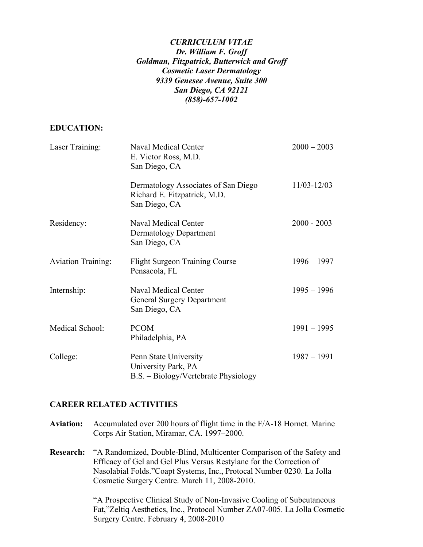## *CURRICULUM VITAE Dr. William F. Groff Goldman, Fitzpatrick, Butterwick and Groff Cosmetic Laser Dermatology 9339 Genesee Avenue, Suite 300 San Diego, CA 92121 (858)-657-1002*

## **EDUCATION:**

| Laser Training:           | Naval Medical Center<br>E. Victor Ross, M.D.<br>San Diego, CA                        | $2000 - 2003$ |
|---------------------------|--------------------------------------------------------------------------------------|---------------|
|                           | Dermatology Associates of San Diego<br>Richard E. Fitzpatrick, M.D.<br>San Diego, CA | 11/03-12/03   |
| Residency:                | Naval Medical Center<br><b>Dermatology Department</b><br>San Diego, CA               | $2000 - 2003$ |
| <b>Aviation Training:</b> | <b>Flight Surgeon Training Course</b><br>Pensacola, FL                               | $1996 - 1997$ |
| Internship:               | <b>Naval Medical Center</b><br><b>General Surgery Department</b><br>San Diego, CA    | $1995 - 1996$ |
| Medical School:           | <b>PCOM</b><br>Philadelphia, PA                                                      | $1991 - 1995$ |
| College:                  | Penn State University<br>University Park, PA<br>B.S. – Biology/Vertebrate Physiology | $1987 - 1991$ |

## **CAREER RELATED ACTIVITIES**

- **Aviation:** Accumulated over 200 hours of flight time in the F/A-18 Hornet. Marine Corps Air Station, Miramar, CA. 1997–2000.
- **Research:** "A Randomized, Double-Blind, Multicenter Comparison of the Safety and Efficacy of Gel and Gel Plus Versus Restylane for the Correction of Nasolabial Folds."Coapt Systems, Inc., Protocal Number 0230. La Jolla Cosmetic Surgery Centre. March 11, 2008-2010.

"A Prospective Clinical Study of Non-Invasive Cooling of Subcutaneous Fat,"Zeltiq Aesthetics, Inc., Protocol Number ZA07-005. La Jolla Cosmetic Surgery Centre. February 4, 2008-2010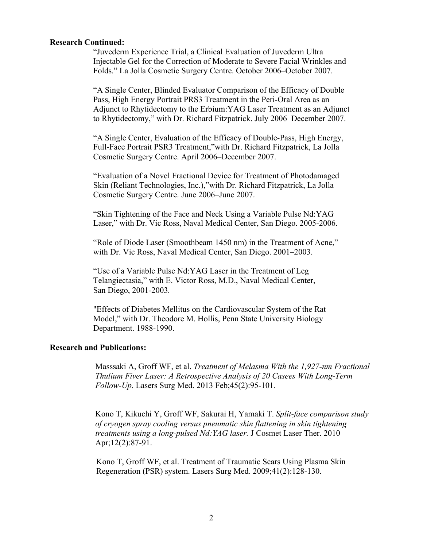#### **Research Continued:**

"Juvederm Experience Trial, a Clinical Evaluation of Juvederm Ultra Injectable Gel for the Correction of Moderate to Severe Facial Wrinkles and Folds." La Jolla Cosmetic Surgery Centre. October 2006–October 2007.

"A Single Center, Blinded Evaluator Comparison of the Efficacy of Double Pass, High Energy Portrait PRS3 Treatment in the Peri-Oral Area as an Adjunct to Rhytidectomy to the Erbium:YAG Laser Treatment as an Adjunct to Rhytidectomy," with Dr. Richard Fitzpatrick. July 2006–December 2007.

"A Single Center, Evaluation of the Efficacy of Double-Pass, High Energy, Full-Face Portrait PSR3 Treatment,"with Dr. Richard Fitzpatrick, La Jolla Cosmetic Surgery Centre. April 2006–December 2007.

"Evaluation of a Novel Fractional Device for Treatment of Photodamaged Skin (Reliant Technologies, Inc.),"with Dr. Richard Fitzpatrick, La Jolla Cosmetic Surgery Centre. June 2006–June 2007.

"Skin Tightening of the Face and Neck Using a Variable Pulse Nd:YAG Laser," with Dr. Vic Ross, Naval Medical Center, San Diego. 2005-2006.

"Role of Diode Laser (Smoothbeam 1450 nm) in the Treatment of Acne," with Dr. Vic Ross, Naval Medical Center, San Diego. 2001–2003.

"Use of a Variable Pulse Nd:YAG Laser in the Treatment of Leg Telangiectasia," with E. Victor Ross, M.D., Naval Medical Center, San Diego, 2001-2003*.*

"Effects of Diabetes Mellitus on the Cardiovascular System of the Rat Model," with Dr. Theodore M. Hollis, Penn State University Biology Department. 1988-1990.

## **Research and Publications:**

Masssaki A, Groff WF, et al. *Treatment of Melasma With the 1,927-nm Fractional Thulium Fiver Laser: A Retrospective Analysis of 20 Casees With Long-Term Follow-Up*. Lasers Surg Med. 2013 Feb;45(2):95-101.

 Kono T, Kikuchi Y, Groff WF, Sakurai H, Yamaki T. *Split-face comparison study of cryogen spray cooling versus pneumatic skin flattening in skin tightening treatments using a long-pulsed Nd:YAG laser.* J Cosmet Laser Ther. 2010 Apr;12(2):87-91.

Kono T, Groff WF, et al. Treatment of Traumatic Scars Using Plasma Skin Regeneration (PSR) system. Lasers Surg Med. 2009;41(2):128-130.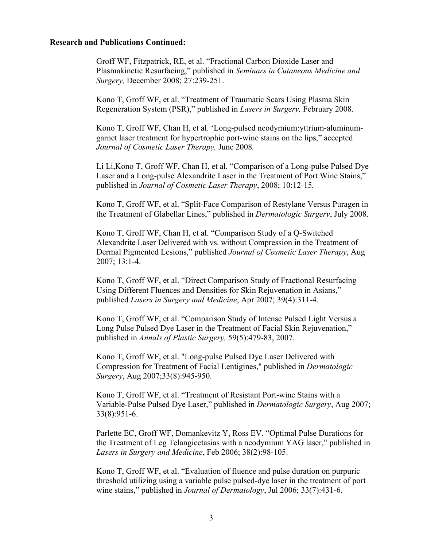#### **Research and Publications Continued:**

Groff WF, Fitzpatrick, RE, et al. "Fractional Carbon Dioxide Laser and Plasmakinetic Resurfacing," published in *Seminars in Cutaneous Medicine and Surgery,* December 2008; 27:239-251.

Kono T, Groff WF, et al. "Treatment of Traumatic Scars Using Plasma Skin Regeneration System (PSR)," published in *Lasers in Surgery,* February 2008.

Kono T, Groff WF, Chan H, et al. 'Long-pulsed neodymium:yttrium-aluminumgarnet laser treatment for hypertrophic port-wine stains on the lips," accepted *Journal of Cosmetic Laser Therapy,* June 2008*.*

Li Li,Kono T, Groff WF, Chan H, et al. "Comparison of a Long-pulse Pulsed Dye Laser and a Long-pulse Alexandrite Laser in the Treatment of Port Wine Stains," published in *Journal of Cosmetic Laser Therapy*, 2008; 10:12-15*.*

Kono T, Groff WF, et al. "Split-Face Comparison of Restylane Versus Puragen in the Treatment of Glabellar Lines," published in *Dermatologic Surgery*, July 2008.

Kono T, Groff WF, Chan H, et al. "Comparison Study of a Q-Switched Alexandrite Laser Delivered with vs. without Compression in the Treatment of Dermal Pigmented Lesions," published *Journal of Cosmetic Laser Therapy*, Aug 2007; 13:1-4.

Kono T, Groff WF, et al. "Direct Comparison Study of Fractional Resurfacing Using Different Fluences and Densities for Skin Rejuvenation in Asians," published *Lasers in Surgery and Medicine*, Apr 2007; 39(4):311-4.

Kono T, Groff WF, et al. "Comparison Study of Intense Pulsed Light Versus a Long Pulse Pulsed Dye Laser in the Treatment of Facial Skin Rejuvenation," published in *Annals of Plastic Surgery,* 59(5):479-83, 2007.

Kono T, Groff WF, et al. "Long-pulse Pulsed Dye Laser Delivered with Compression for Treatment of Facial Lentigines," published in *Dermatologic Surgery*, Aug 2007;33(8):945-950.

Kono T, Groff WF, et al. "Treatment of Resistant Port-wine Stains with a Variable-Pulse Pulsed Dye Laser," published in *Dermatologic Surgery*, Aug 2007; 33(8):951-6.

Parlette EC, Groff WF, Domankevitz Y, Ross EV. "Optimal Pulse Durations for the Treatment of Leg Telangiectasias with a neodymium YAG laser," published in *Lasers in Surgery and Medicine*, Feb 2006; 38(2):98-105.

Kono T, Groff WF, et al. "Evaluation of fluence and pulse duration on purpuric threshold utilizing using a variable pulse pulsed-dye laser in the treatment of port wine stains," published in *Journal of Dermatology*, Jul 2006; 33(7):431-6.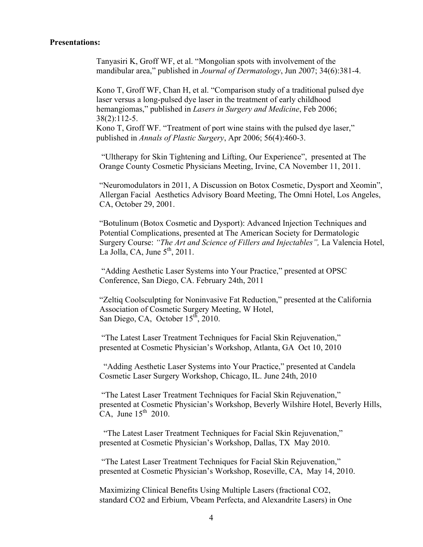#### **Presentations:**

Tanyasiri K, Groff WF, et al. "Mongolian spots with involvement of the mandibular area," published in *Journal of Dermatology*, Jun *2*007; 34(6):381-4.

Kono T, Groff WF, Chan H, et al. "Comparison study of a traditional pulsed dye laser versus a long-pulsed dye laser in the treatment of early childhood hemangiomas," published in *Lasers in Surgery and Medicine*, Feb 2006; 38(2):112-5.

Kono T, Groff WF. "Treatment of port wine stains with the pulsed dye laser," published in *Annals of Plastic Surgery*, Apr 2006; 56(4):460-3.

"Ultherapy for Skin Tightening and Lifting, Our Experience", presented at The Orange County Cosmetic Physicians Meeting, Irvine, CA November 11, 2011.

"Neuromodulators in 2011, A Discussion on Botox Cosmetic, Dysport and Xeomin", Allergan Facial Aesthetics Advisory Board Meeting, The Omni Hotel, Los Angeles, CA, October 29, 2001.

"Botulinum (Botox Cosmetic and Dysport): Advanced Injection Techniques and Potential Complications, presented at The American Society for Dermatologic Surgery Course: *"The Art and Science of Fillers and Injectables",* La Valencia Hotel, La Jolla, CA, June  $5<sup>th</sup>$ , 2011.

"Adding Aesthetic Laser Systems into Your Practice," presented at OPSC Conference, San Diego, CA. February 24th, 2011

 "Zeltiq Coolsculpting for Noninvasive Fat Reduction," presented at the California Association of Cosmetic Surgery Meeting, W Hotel, San Diego, CA, October  $15<sup>th</sup>$ , 2010.

 "The Latest Laser Treatment Techniques for Facial Skin Rejuvenation," presented at Cosmetic Physician's Workshop, Atlanta, GA Oct 10, 2010

 "Adding Aesthetic Laser Systems into Your Practice," presented at Candela Cosmetic Laser Surgery Workshop, Chicago, IL. June 24th, 2010

"The Latest Laser Treatment Techniques for Facial Skin Rejuvenation," presented at Cosmetic Physician's Workshop, Beverly Wilshire Hotel, Beverly Hills, CA, June  $15<sup>th</sup>$  2010.

 "The Latest Laser Treatment Techniques for Facial Skin Rejuvenation," presented at Cosmetic Physician's Workshop, Dallas, TX May 2010.

 "The Latest Laser Treatment Techniques for Facial Skin Rejuvenation," presented at Cosmetic Physician's Workshop, Roseville, CA, May 14, 2010.

Maximizing Clinical Benefits Using Multiple Lasers (fractional CO2, standard CO2 and Erbium, Vbeam Perfecta, and Alexandrite Lasers) in One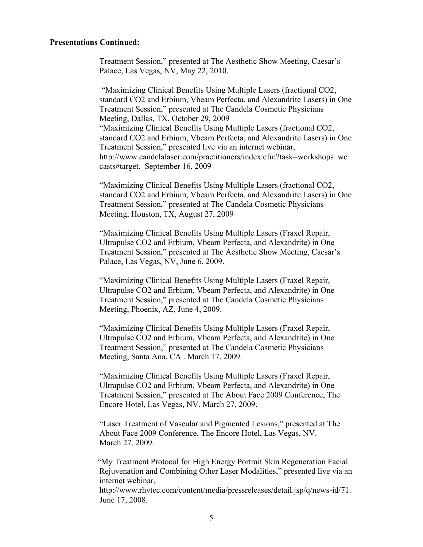Treatment Session," presented at The Aesthetic Show Meeting, Caesar's Palace, Las Vegas, NV, May 22, 2010.

 "Maximizing Clinical Benefits Using Multiple Lasers (fractional CO2, standard CO2 and Erbium, Vbeam Perfecta, and Alexandrite Lasers) in One Treatment Session," presented at The Candela Cosmetic Physicians Meeting, Dallas, TX, October 29, 2009 "Maximizing Clinical Benefits Using Multiple Lasers (fractional CO2, standard CO2 and Erbium, Vbeam Perfecta, and Alexandrite Lasers) in One Treatment Session," presented live via an internet webinar, http://www.candelalaser.com/practitioners/index.cfm?task=workshops\_we casts#target. September 16, 2009

"Maximizing Clinical Benefits Using Multiple Lasers (fractional CO2, standard CO2 and Erbium, Vbeam Perfecta, and Alexandrite Lasers) in One Treatment Session," presented at The Candela Cosmetic Physicians Meeting, Houston, TX, August 27, 2009

"Maximizing Clinical Benefits Using Multiple Lasers (Fraxel Repair, Ultrapulse CO2 and Erbium, Vbeam Perfecta, and Alexandrite) in One Treatment Session," presented at The Aesthetic Show Meeting, Caesar's Palace, Las Vegas, NV, June 6, 2009.

"Maximizing Clinical Benefits Using Multiple Lasers (Fraxel Repair, Ultrapulse CO2 and Erbium, Vbeam Perfecta, and Alexandrite) in One Treatment Session," presented at The Candela Cosmetic Physicians Meeting, Phoenix, AZ, June 4, 2009.

"Maximizing Clinical Benefits Using Multiple Lasers (Fraxel Repair, Ultrapulse CO2 and Erbium, Vbeam Perfecta, and Alexandrite) in One Treatment Session," presented at The Candela Cosmetic Physicians Meeting, Santa Ana, CA . March 17, 2009.

"Maximizing Clinical Benefits Using Multiple Lasers (Fraxel Repair, Ultrapulse CO2 and Erbium, Vbeam Perfecta, and Alexandrite) in One Treatment Session," presented at The About Face 2009 Conference, The Encore Hotel, Las Vegas, NV. March 27, 2009.

"Laser Treatment of Vascular and Pigmented Lesions," presented at The About Face 2009 Conference, The Encore Hotel, Las Vegas, NV. March 27, 2009.

 "My Treatment Protocol for High Energy Portrait Skin Regeneration Facial Rejuvenation and Combining Other Laser Modalities," presented live via an internet webinar,

http://www.rhytec.com/content/media/pressreleases/detail.jsp/q/news-id/71. June 17, 2008.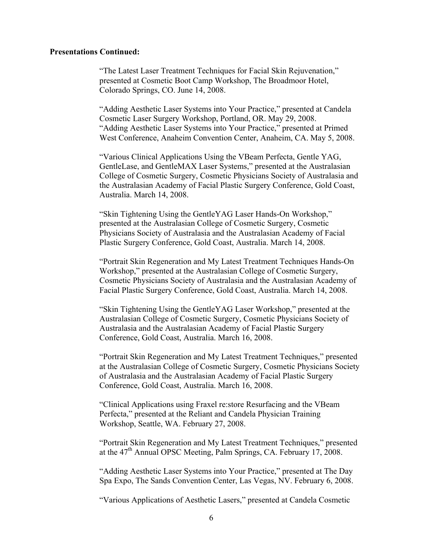"The Latest Laser Treatment Techniques for Facial Skin Rejuvenation," presented at Cosmetic Boot Camp Workshop, The Broadmoor Hotel, Colorado Springs, CO. June 14, 2008.

"Adding Aesthetic Laser Systems into Your Practice," presented at Candela Cosmetic Laser Surgery Workshop, Portland, OR. May 29, 2008. "Adding Aesthetic Laser Systems into Your Practice," presented at Primed West Conference, Anaheim Convention Center, Anaheim, CA. May 5, 2008.

"Various Clinical Applications Using the VBeam Perfecta, Gentle YAG, GentleLase, and GentleMAX Laser Systems," presented at the Australasian College of Cosmetic Surgery, Cosmetic Physicians Society of Australasia and the Australasian Academy of Facial Plastic Surgery Conference, Gold Coast, Australia. March 14, 2008.

"Skin Tightening Using the GentleYAG Laser Hands-On Workshop," presented at the Australasian College of Cosmetic Surgery, Cosmetic Physicians Society of Australasia and the Australasian Academy of Facial Plastic Surgery Conference, Gold Coast, Australia. March 14, 2008.

"Portrait Skin Regeneration and My Latest Treatment Techniques Hands-On Workshop," presented at the Australasian College of Cosmetic Surgery, Cosmetic Physicians Society of Australasia and the Australasian Academy of Facial Plastic Surgery Conference, Gold Coast, Australia. March 14, 2008.

"Skin Tightening Using the GentleYAG Laser Workshop," presented at the Australasian College of Cosmetic Surgery, Cosmetic Physicians Society of Australasia and the Australasian Academy of Facial Plastic Surgery Conference, Gold Coast, Australia. March 16, 2008.

"Portrait Skin Regeneration and My Latest Treatment Techniques," presented at the Australasian College of Cosmetic Surgery, Cosmetic Physicians Society of Australasia and the Australasian Academy of Facial Plastic Surgery Conference, Gold Coast, Australia. March 16, 2008.

"Clinical Applications using Fraxel re:store Resurfacing and the VBeam Perfecta," presented at the Reliant and Candela Physician Training Workshop, Seattle, WA. February 27, 2008.

"Portrait Skin Regeneration and My Latest Treatment Techniques," presented at the 47<sup>th</sup> Annual OPSC Meeting, Palm Springs, CA. February 17, 2008.

"Adding Aesthetic Laser Systems into Your Practice," presented at The Day Spa Expo, The Sands Convention Center, Las Vegas, NV. February 6, 2008.

"Various Applications of Aesthetic Lasers," presented at Candela Cosmetic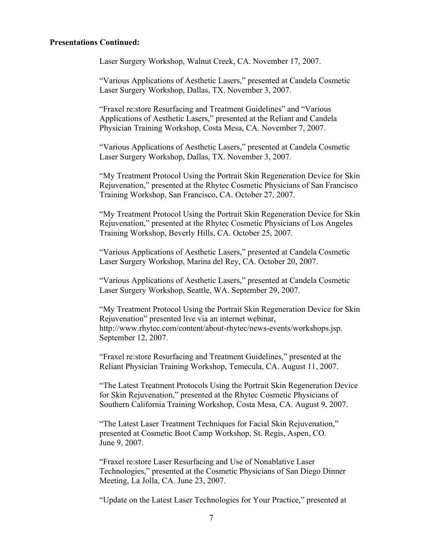Laser Surgery Workshop, Walnut Creek, CA. November 17, 2007.

"Various Applications of Aesthetic Lasers," presented at Candela Cosmetic Laser Surgery Workshop, Dallas, TX. November 3, 2007.

"Fraxel re:store Resurfacing and Treatment Guidelines" and "Various Applications of Aesthetic Lasers," presented at the Reliant and Candela Physician Training Workshop, Costa Mesa, CA. November 7, 2007.

"Various Applications of Aesthetic Lasers," presented at Candela Cosmetic Laser Surgery Workshop, Dallas, TX. November 3, 2007.

"My Treatment Protocol Using the Portrait Skin Regeneration Device for Skin Rejuvenation," presented at the Rhytec Cosmetic Physicians of San Francisco Training Workshop, San Francisco, CA. October 27, 2007.

"My Treatment Protocol Using the Portrait Skin Regeneration Device for Skin Rejuvenation," presented at the Rhytec Cosmetic Physicians of Los Angeles Training Workshop, Beverly Hills, CA. October 25, 2007.

"Various Applications of Aesthetic Lasers," presented at Candela Cosmetic Laser Surgery Workshop, Marina del Rey, CA. October 20, 2007.

"Various Applications of Aesthetic Lasers," presented at Candela Cosmetic Laser Surgery Workshop, Seattle, WA. September 29, 2007.

"My Treatment Protocol Using the Portrait Skin Regeneration Device for Skin Rejuvenation" presented live via an internet webinar, http://www.rhytec.com/content/about-rhytec/news-events/workshops.jsp. September 12, 2007.

"Fraxel re:store Resurfacing and Treatment Guidelines," presented at the Reliant Physician Training Workshop, Temecula, CA. August 11, 2007.

"The Latest Treatment Protocols Using the Portrait Skin Regeneration Device for Skin Rejuvenation," presented at the Rhytec Cosmetic Physicians of Southern California Training Workshop, Costa Mesa, CA. August 9, 2007.

"The Latest Laser Treatment Techniques for Facial Skin Rejuvenation," presented at Cosmetic Boot Camp Workshop, St. Regis, Aspen, CO. June 9, 2007.

"Fraxel re:store Laser Resurfacing and Use of Nonablative Laser Technologies," presented at the Cosmetic Physicians of San Diego Dinner Meeting, La Jolla, CA. June 23, 2007.

"Update on the Latest Laser Technologies for Your Practice," presented at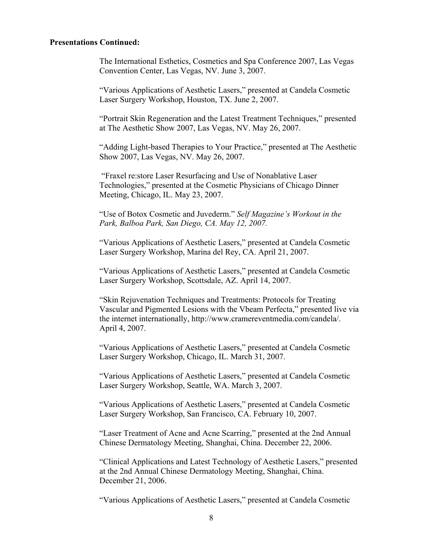The International Esthetics, Cosmetics and Spa Conference 2007, Las Vegas Convention Center, Las Vegas, NV. June 3, 2007.

"Various Applications of Aesthetic Lasers," presented at Candela Cosmetic Laser Surgery Workshop, Houston, TX. June 2, 2007.

"Portrait Skin Regeneration and the Latest Treatment Techniques," presented at The Aesthetic Show 2007, Las Vegas, NV. May 26, 2007.

"Adding Light-based Therapies to Your Practice," presented at The Aesthetic Show 2007, Las Vegas, NV. May 26, 2007.

"Fraxel re:store Laser Resurfacing and Use of Nonablative Laser Technologies," presented at the Cosmetic Physicians of Chicago Dinner Meeting, Chicago, IL. May 23, 2007.

"Use of Botox Cosmetic and Juvederm." *Self Magazine's Workout in the Park, Balboa Park, San Diego, CA. May 12, 2007.*

"Various Applications of Aesthetic Lasers," presented at Candela Cosmetic Laser Surgery Workshop, Marina del Rey, CA. April 21, 2007.

"Various Applications of Aesthetic Lasers," presented at Candela Cosmetic Laser Surgery Workshop, Scottsdale, AZ. April 14, 2007.

"Skin Rejuvenation Techniques and Treatments: Protocols for Treating Vascular and Pigmented Lesions with the Vbeam Perfecta," presented live via the internet internationally, http://www.cramereventmedia.com/candela/. April 4, 2007.

"Various Applications of Aesthetic Lasers," presented at Candela Cosmetic Laser Surgery Workshop, Chicago, IL. March 31, 2007.

"Various Applications of Aesthetic Lasers," presented at Candela Cosmetic Laser Surgery Workshop, Seattle, WA. March 3, 2007.

"Various Applications of Aesthetic Lasers," presented at Candela Cosmetic Laser Surgery Workshop, San Francisco, CA. February 10, 2007.

"Laser Treatment of Acne and Acne Scarring," presented at the 2nd Annual Chinese Dermatology Meeting, Shanghai, China. December 22, 2006.

"Clinical Applications and Latest Technology of Aesthetic Lasers," presented at the 2nd Annual Chinese Dermatology Meeting, Shanghai, China. December 21, 2006.

"Various Applications of Aesthetic Lasers," presented at Candela Cosmetic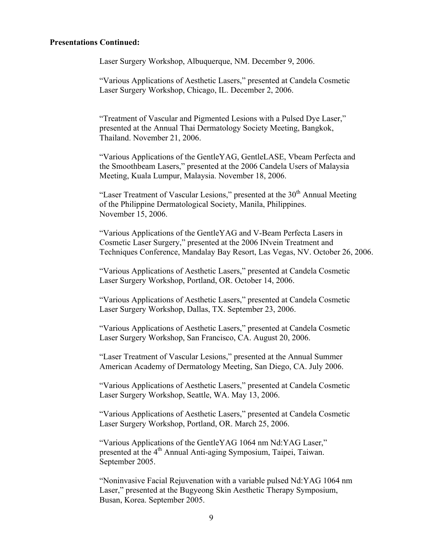Laser Surgery Workshop, Albuquerque, NM. December 9, 2006.

"Various Applications of Aesthetic Lasers," presented at Candela Cosmetic Laser Surgery Workshop, Chicago, IL. December 2, 2006.

"Treatment of Vascular and Pigmented Lesions with a Pulsed Dye Laser," presented at the Annual Thai Dermatology Society Meeting, Bangkok, Thailand. November 21, 2006.

"Various Applications of the GentleYAG, GentleLASE, Vbeam Perfecta and the Smoothbeam Lasers," presented at the 2006 Candela Users of Malaysia Meeting, Kuala Lumpur, Malaysia. November 18, 2006.

"Laser Treatment of Vascular Lesions," presented at the  $30<sup>th</sup>$  Annual Meeting of the Philippine Dermatological Society, Manila, Philippines. November 15, 2006.

"Various Applications of the GentleYAG and V-Beam Perfecta Lasers in Cosmetic Laser Surgery," presented at the 2006 INvein Treatment and Techniques Conference, Mandalay Bay Resort, Las Vegas, NV. October 26, 2006.

"Various Applications of Aesthetic Lasers," presented at Candela Cosmetic Laser Surgery Workshop, Portland, OR. October 14, 2006.

"Various Applications of Aesthetic Lasers," presented at Candela Cosmetic Laser Surgery Workshop, Dallas, TX. September 23, 2006.

"Various Applications of Aesthetic Lasers," presented at Candela Cosmetic Laser Surgery Workshop, San Francisco, CA. August 20, 2006.

"Laser Treatment of Vascular Lesions," presented at the Annual Summer American Academy of Dermatology Meeting, San Diego, CA. July 2006.

"Various Applications of Aesthetic Lasers," presented at Candela Cosmetic Laser Surgery Workshop, Seattle, WA. May 13, 2006.

"Various Applications of Aesthetic Lasers," presented at Candela Cosmetic Laser Surgery Workshop, Portland, OR. March 25, 2006.

"Various Applications of the GentleYAG 1064 nm Nd:YAG Laser," presented at the 4<sup>th</sup> Annual Anti-aging Symposium, Taipei, Taiwan. September 2005.

"Noninvasive Facial Rejuvenation with a variable pulsed Nd:YAG 1064 nm Laser," presented at the Bugyeong Skin Aesthetic Therapy Symposium, Busan, Korea. September 2005.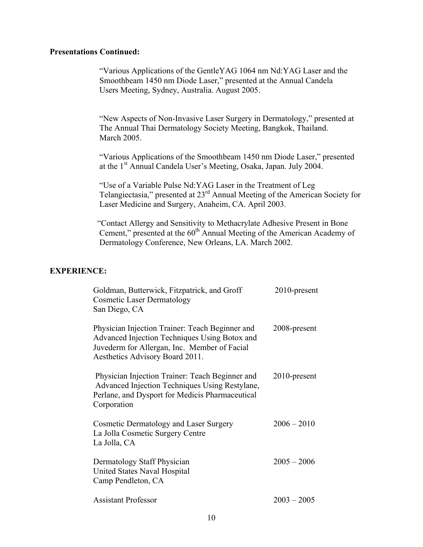"Various Applications of the GentleYAG 1064 nm Nd:YAG Laser and the Smoothbeam 1450 nm Diode Laser," presented at the Annual Candela Users Meeting, Sydney, Australia. August 2005.

"New Aspects of Non-Invasive Laser Surgery in Dermatology," presented at The Annual Thai Dermatology Society Meeting, Bangkok, Thailand. March 2005.

"Various Applications of the Smoothbeam 1450 nm Diode Laser," presented at the 1st Annual Candela User's Meeting, Osaka, Japan. July 2004.

"Use of a Variable Pulse Nd:YAG Laser in the Treatment of Leg Telangiectasia," presented at 23rd Annual Meeting of the American Society for Laser Medicine and Surgery, Anaheim, CA. April 2003.

 "Contact Allergy and Sensitivity to Methacrylate Adhesive Present in Bone Cement," presented at the  $60<sup>th</sup>$  Annual Meeting of the American Academy of Dermatology Conference, New Orleans, LA. March 2002.

## **EXPERIENCE:**

| Goldman, Butterwick, Fitzpatrick, and Groff<br><b>Cosmetic Laser Dermatology</b><br>San Diego, CA                                                                                   | $2010$ -present |
|-------------------------------------------------------------------------------------------------------------------------------------------------------------------------------------|-----------------|
| Physician Injection Trainer: Teach Beginner and<br>Advanced Injection Techniques Using Botox and<br>Juvederm for Allergan, Inc. Member of Facial<br>Aesthetics Advisory Board 2011. | 2008-present    |
| Physician Injection Trainer: Teach Beginner and<br>Advanced Injection Techniques Using Restylane,<br>Perlane, and Dysport for Medicis Pharmaceutical<br>Corporation                 | $2010$ -present |
| Cosmetic Dermatology and Laser Surgery<br>La Jolla Cosmetic Surgery Centre<br>La Jolla, CA                                                                                          | $2006 - 2010$   |
| Dermatology Staff Physician<br>United States Naval Hospital<br>Camp Pendleton, CA                                                                                                   | $2005 - 2006$   |
| <b>Assistant Professor</b>                                                                                                                                                          | $2003 - 2005$   |